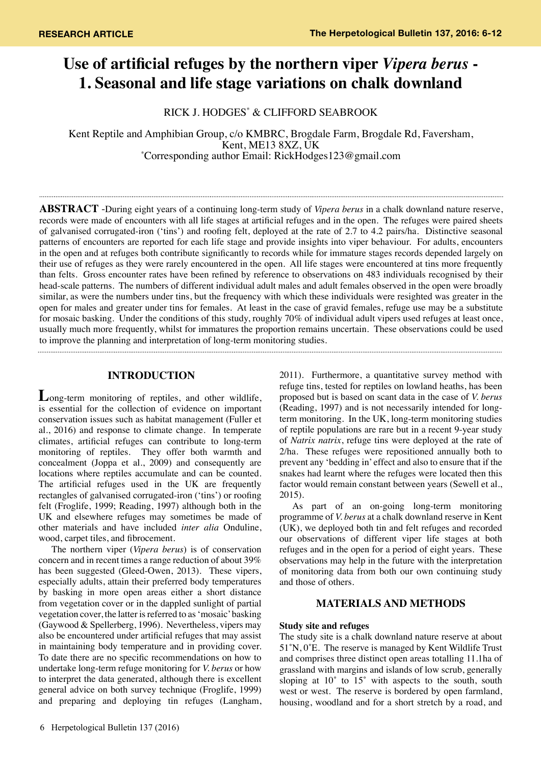# **Use of artificial refuges by the northern viper** *Vipera berus* **- 1. Seasonal and life stage variations on chalk downland**

RICK J. HODGES\* & CLIFFORD SEABROOK

Kent Reptile and Amphibian Group, c/o KMBRC, Brogdale Farm, Brogdale Rd, Faversham,<br>Kent, ME13 8XZ, UK Kent, ME13 8XZ, UK<br>Corresponding author Email: RickHodges123@gmail.com\*

**Abstract** -During eight years of a continuing long-term study of *Vipera berus* in a chalk downland nature reserve, records were made of encounters with all life stages at artificial refuges and in the open. The refuges were paired sheets of galvanised corrugated-iron ('tins') and roofing felt, deployed at the rate of 2.7 to 4.2 pairs/ha. Distinctive seasonal patterns of encounters are reported for each life stage and provide insights into viper behaviour. For adults, encounters in the open and at refuges both contribute significantly to records while for immature stages records depended largely on their use of refuges as they were rarely encountered in the open. All life stages were encountered at tins more frequently than felts. Gross encounter rates have been refined by reference to observations on 483 individuals recognised by their head-scale patterns. The numbers of different individual adult males and adult females observed in the open were broadly similar, as were the numbers under tins, but the frequency with which these individuals were resighted was greater in the open for males and greater under tins for females. At least in the case of gravid females, refuge use may be a substitute for mosaic basking. Under the conditions of this study, roughly 70% of individual adult vipers used refuges at least once, usually much more frequently, whilst for immatures the proportion remains uncertain. These observations could be used to improve the planning and interpretation of long-term monitoring studies.

## **INTRODUCTION**

**L**ong-term monitoring of reptiles, and other wildlife, is essential for the collection of evidence on important conservation issues such as habitat management (Fuller et al., 2016) and response to climate change. In temperate climates, artificial refuges can contribute to long-term monitoring of reptiles. They offer both warmth and concealment (Joppa et al., 2009) and consequently are locations where reptiles accumulate and can be counted. The artificial refuges used in the UK are frequently rectangles of galvanised corrugated-iron ('tins') or roofing felt (Froglife, 1999; Reading, 1997) although both in the UK and elsewhere refuges may sometimes be made of other materials and have included *inter alia* Onduline, wood, carpet tiles, and fibrocement.

The northern viper (*Vipera berus*) is of conservation concern and in recent times a range reduction of about 39% has been suggested (Gleed-Owen, 2013). These vipers, especially adults, attain their preferred body temperatures by basking in more open areas either a short distance from vegetation cover or in the dappled sunlight of partial vegetation cover, the latter is referred to as 'mosaic' basking (Gaywood & Spellerberg, 1996). Nevertheless, vipers may also be encountered under artificial refuges that may assist in maintaining body temperature and in providing cover. To date there are no specific recommendations on how to undertake long-term refuge monitoring for *V. berus* or how to interpret the data generated, although there is excellent general advice on both survey technique (Froglife, 1999) and preparing and deploying tin refuges (Langham,

6 Herpetological Bulletin 137 (2016)

2011). Furthermore, a quantitative survey method with refuge tins, tested for reptiles on lowland heaths, has been proposed but is based on scant data in the case of *V. berus* (Reading, 1997) and is not necessarily intended for longterm monitoring. In the UK, long-term monitoring studies of reptile populations are rare but in a recent 9-year study of *Natrix natrix*, refuge tins were deployed at the rate of 2/ha. These refuges were repositioned annually both to prevent any 'bedding in' effect and also to ensure that if the snakes had learnt where the refuges were located then this factor would remain constant between years (Sewell et al., 2015).

As part of an on-going long-term monitoring programme of *V. berus* at a chalk downland reserve in Kent (UK), we deployed both tin and felt refuges and recorded our observations of different viper life stages at both refuges and in the open for a period of eight years. These observations may help in the future with the interpretation of monitoring data from both our own continuing study and those of others.

## **MATERIALS AND METHODS**

### **Study site and refuges**

The study site is a chalk downland nature reserve at about 51˚N, 0˚E. The reserve is managed by Kent Wildlife Trust and comprises three distinct open areas totalling 11.1ha of grassland with margins and islands of low scrub, generally sloping at  $10^\circ$  to  $15^\circ$  with aspects to the south, south west or west. The reserve is bordered by open farmland, housing, woodland and for a short stretch by a road, and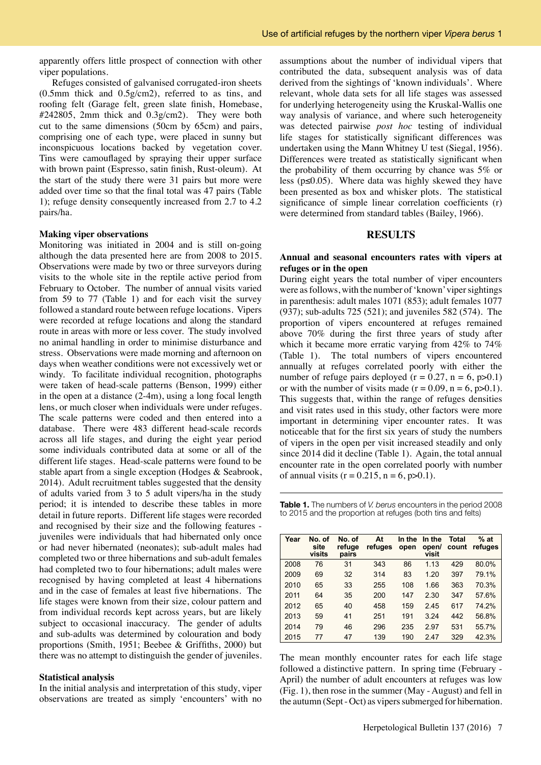apparently offers little prospect of connection with other viper populations.

Refuges consisted of galvanised corrugated-iron sheets (0.5mm thick and 0.5g/cm2), referred to as tins, and roofing felt (Garage felt, green slate finish, Homebase, #242805, 2mm thick and 0.3g/cm2). They were both cut to the same dimensions (50cm by 65cm) and pairs, comprising one of each type, were placed in sunny but inconspicuous locations backed by vegetation cover. Tins were camouflaged by spraying their upper surface with brown paint (Espresso, satin finish, Rust-oleum). At the start of the study there were 31 pairs but more were added over time so that the final total was 47 pairs (Table 1); refuge density consequently increased from 2.7 to 4.2 pairs/ha.

#### **Making viper observations**

Monitoring was initiated in 2004 and is still on-going although the data presented here are from 2008 to 2015. Observations were made by two or three surveyors during visits to the whole site in the reptile active period from February to October. The number of annual visits varied from 59 to 77 (Table 1) and for each visit the survey followed a standard route between refuge locations. Vipers were recorded at refuge locations and along the standard route in areas with more or less cover. The study involved no animal handling in order to minimise disturbance and stress. Observations were made morning and afternoon on days when weather conditions were not excessively wet or windy. To facilitate individual recognition, photographs were taken of head-scale patterns (Benson, 1999) either in the open at a distance (2-4m), using a long focal length lens, or much closer when individuals were under refuges. The scale patterns were coded and then entered into a database. There were 483 different head-scale records across all life stages, and during the eight year period some individuals contributed data at some or all of the different life stages. Head-scale patterns were found to be stable apart from a single exception (Hodges & Seabrook, 2014). Adult recruitment tables suggested that the density of adults varied from 3 to 5 adult vipers/ha in the study period; it is intended to describe these tables in more detail in future reports. Different life stages were recorded and recognised by their size and the following features juveniles were individuals that had hibernated only once or had never hibernated (neonates); sub-adult males had completed two or three hibernations and sub-adult females had completed two to four hibernations; adult males were recognised by having completed at least 4 hibernations and in the case of females at least five hibernations. The life stages were known from their size, colour pattern and from individual records kept across years, but are likely subject to occasional inaccuracy. The gender of adults and sub-adults was determined by colouration and body proportions (Smith, 1951; Beebee & Griffiths, 2000) but there was no attempt to distinguish the gender of juveniles.

#### **Statistical analysis**

In the initial analysis and interpretation of this study, viper observations are treated as simply 'encounters' with no assumptions about the number of individual vipers that contributed the data, subsequent analysis was of data derived from the sightings of 'known individuals'. Where relevant, whole data sets for all life stages was assessed for underlying heterogeneity using the Kruskal-Wallis one way analysis of variance, and where such heterogeneity was detected pairwise *post hoc* testing of individual life stages for statistically significant differences was undertaken using the Mann Whitney U test (Siegal, 1956). Differences were treated as statistically significant when the probability of them occurring by chance was 5% or less ( $p \le 0.05$ ). Where data was highly skewed they have been presented as box and whisker plots. The statistical significance of simple linear correlation coefficients (r) were determined from standard tables (Bailey, 1966).

### **RESULTS**

#### **Annual and seasonal encounters rates with vipers at refuges or in the open**

During eight years the total number of viper encounters were as follows, with the number of 'known' viper sightings in parenthesis: adult males 1071 (853); adult females 1077 (937); sub-adults 725 (521); and juveniles 582 (574). The proportion of vipers encountered at refuges remained above 70% during the first three years of study after which it became more erratic varying from 42% to 74% (Table 1). The total numbers of vipers encountered annually at refuges correlated poorly with either the number of refuge pairs deployed ( $r = 0.27$ ,  $n = 6$ ,  $p > 0.1$ ) or with the number of visits made  $(r = 0.09, n = 6, p > 0.1)$ . This suggests that, within the range of refuges densities and visit rates used in this study, other factors were more important in determining viper encounter rates. It was noticeable that for the first six years of study the numbers of vipers in the open per visit increased steadily and only since 2014 did it decline (Table 1). Again, the total annual encounter rate in the open correlated poorly with number of annual visits  $(r = 0.215, n = 6, p > 0.1)$ .

**Table 1.** The numbers of *V. berus* encounters in the period 2008 to 2015 and the proportion at refuges (both tins and felts)

| Year | No. of<br>site<br>visits | No. of<br>refuge<br>pairs | At<br>refuges | In the<br>open | In the<br>open/<br>visit | <b>Total</b><br>count | $%$ at<br>refuges |
|------|--------------------------|---------------------------|---------------|----------------|--------------------------|-----------------------|-------------------|
| 2008 | 76                       | 31                        | 343           | 86             | 1.13                     | 429                   | 80.0%             |
| 2009 | 69                       | 32                        | 314           | 83             | 1.20                     | 397                   | 79.1%             |
| 2010 | 65                       | 33                        | 255           | 108            | 1.66                     | 363                   | 70.3%             |
| 2011 | 64                       | 35                        | 200           | 147            | 2.30                     | 347                   | 57.6%             |
| 2012 | 65                       | 40                        | 458           | 159            | 2.45                     | 617                   | 74.2%             |
| 2013 | 59                       | 41                        | 251           | 191            | 3.24                     | 442                   | 56.8%             |
| 2014 | 79                       | 46                        | 296           | 235            | 2.97                     | 531                   | 55.7%             |
| 2015 | 77                       | 47                        | 139           | 190            | 2.47                     | 329                   | 42.3%             |

The mean monthly encounter rates for each life stage followed a distinctive pattern. In spring time (February - April) the number of adult encounters at refuges was low (Fig. 1), then rose in the summer (May - August) and fell in the autumn (Sept - Oct) as vipers submerged for hibernation.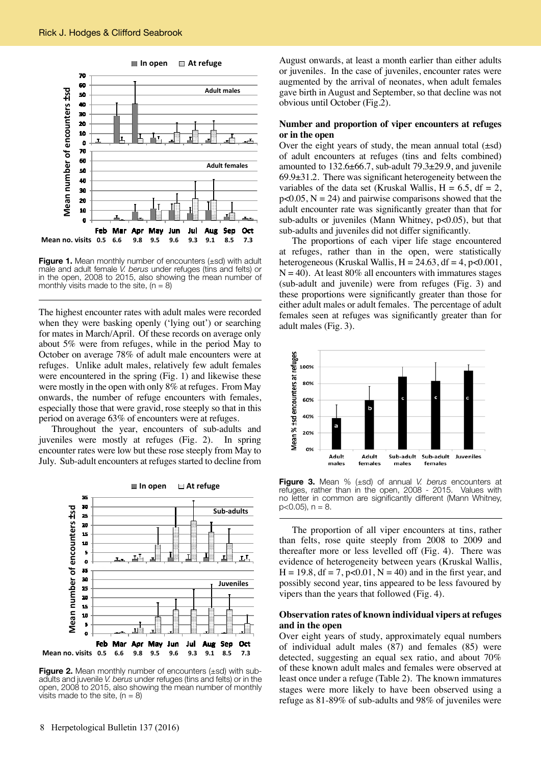

**Figure 1.** Mean monthly number of encounters (±sd) with adult male and adult female *V. berus* under refuges (tins and felts) or in the open, 2008 to 2015, also showing the mean number of monthly visits made to the site,  $(n = 8)$ 

The highest encounter rates with adult males were recorded when they were basking openly ('lying out') or searching for mates in March/April. Of these records on average only about 5% were from refuges, while in the period May to October on average 78% of adult male encounters were at refuges. Unlike adult males, relatively few adult females were encountered in the spring (Fig. 1) and likewise these were mostly in the open with only 8% at refuges. From May onwards, the number of refuge encounters with females, especially those that were gravid, rose steeply so that in this period on average 63% of encounters were at refuges.

Throughout the year, encounters of sub-adults and juveniles were mostly at refuges (Fig. 2). In spring encounter rates were low but these rose steeply from May to July. Sub-adult encounters at refuges started to decline from



**Figure 2.** Mean monthly number of encounters ( $\pm$ sd) with subadults and juvenile *V. berus* under refuges (tins and felts) or in the open, 2008 to 2015, also showing the mean number of monthly visits made to the site,  $(n = 8)$ 

August onwards, at least a month earlier than either adults or juveniles. In the case of juveniles, encounter rates were augmented by the arrival of neonates, when adult females gave birth in August and September, so that decline was not obvious until October (Fig.2).

#### **Number and proportion of viper encounters at refuges or in the open**

Over the eight years of study, the mean annual total  $(\pm sd)$ of adult encounters at refuges (tins and felts combined) amounted to 132.6±66.7, sub-adult 79.3±29.9, and juvenile 69.9±31.2. There was significant heterogeneity between the variables of the data set (Kruskal Wallis,  $H = 6.5$ , df = 2,  $p<0.05$ ,  $N = 24$ ) and pairwise comparisons showed that the adult encounter rate was significantly greater than that for sub-adults or juveniles (Mann Whitney, p<0.05), but that sub-adults and juveniles did not differ significantly.

The proportions of each viper life stage encountered at refuges, rather than in the open, were statistically heterogeneous (Kruskal Wallis,  $H = 24.63$ ,  $df = 4$ ,  $p < 0.001$ ,  $N = 40$ ). At least 80% all encounters with immatures stages (sub-adult and juvenile) were from refuges (Fig. 3) and these proportions were significantly greater than those for either adult males or adult females. The percentage of adult females seen at refuges was significantly greater than for adult males (Fig. 3).



**Figure 3.** Mean % (±sd) of annual *V. berus* encounters at refuges, rather than in the open, 2008 - 2015. Values with refuges, rather than in the open, 2008 - 2015. no letter in common are significantly different (Mann Whitney,  $p<0.05$ ),  $n = 8$ .

The proportion of all viper encounters at tins, rather than felts, rose quite steeply from 2008 to 2009 and thereafter more or less levelled off (Fig. 4). There was evidence of heterogeneity between years (Kruskal Wallis,  $H = 19.8$ ,  $df = 7$ ,  $p < 0.01$ ,  $N = 40$ ) and in the first year, and possibly second year, tins appeared to be less favoured by vipers than the years that followed (Fig. 4).

### **Observation rates of known individual vipers at refuges and in the open**

Over eight years of study, approximately equal numbers of individual adult males (87) and females (85) were detected, suggesting an equal sex ratio, and about 70% of these known adult males and females were observed at least once under a refuge (Table 2). The known immatures stages were more likely to have been observed using a refuge as 81-89% of sub-adults and 98% of juveniles were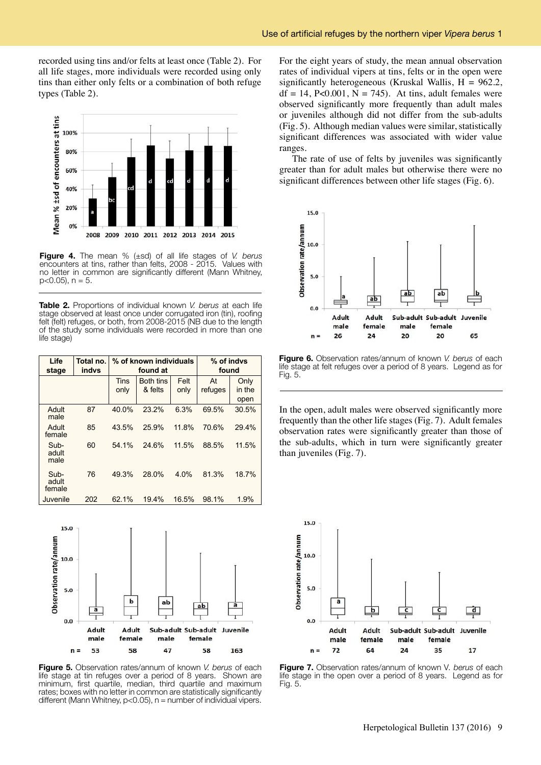recorded using tins and/or felts at least once (Table 2). For all life stages, more individuals were recorded using only tins than either only felts or a combination of both refuge types (Table 2).



**Figure 4.** The mean % (±sd) of all life stages of *V. berus*  encounters at tins, rather than felts, 2008 - 2015. Values with no letter in common are significantly different (Mann Whitney,  $p<0.05$ ),  $n = 5$ .

**Table 2.** Proportions of individual known *V. berus* at each life stage observed at least once under corrugated iron (tin), roofing felt (felt) refuges, or both, from 2008-2015 (NB due to the length of the study some individuals were recorded in more than one life stage)

| Life<br>stage           | Total no.<br><b>indvs</b> |             | % of known individuals<br>found at | % of indvs<br>found |         |        |
|-------------------------|---------------------------|-------------|------------------------------------|---------------------|---------|--------|
|                         |                           | <b>Tins</b> | <b>Both tins</b>                   | Felt                | At      | Only   |
|                         |                           | only        | & felts                            | only                | refuges | in the |
|                         |                           |             |                                    |                     |         | open   |
| Adult<br>male           | 87                        | 40.0%       | 23.2%                              | 6.3%                | 69.5%   | 30.5%  |
| Adult<br>female         | 85                        | 43.5%       | 25.9%                              | 11.8%               | 70.6%   | 29.4%  |
| Sub-<br>adult<br>male   | 60                        | 54.1%       | 24.6%                              | 11.5%               | 88.5%   | 11.5%  |
| Sub-<br>adult<br>female | 76                        | 49.3%       | 28.0%                              | 4.0%                | 81.3%   | 18.7%  |
| Juvenile                | 202                       | 62.1%       | 19.4%                              | 16.5%               | 98.1%   | 1.9%   |



**Figure 5.** Observation rates/annum of known *V. berus* of each life stage at tin refuges over a period of 8 years. Shown are minimum, first quartile, median, third quartile and maximum rates; boxes with no letter in common are statistically significantly different (Mann Whitney,  $p<0.05$ ),  $n =$  number of individual vipers.

For the eight years of study, the mean annual observation rates of individual vipers at tins, felts or in the open were significantly heterogeneous (Kruskal Wallis,  $H = 962.2$ ,  $df = 14$ , P<0.001, N = 745). At tins, adult females were observed significantly more frequently than adult males or juveniles although did not differ from the sub-adults (Fig. 5). Although median values were similar, statistically significant differences was associated with wider value ranges.

The rate of use of felts by juveniles was significantly greater than for adult males but otherwise there were no significant differences between other life stages (Fig. 6).



**Figure 6.** Observation rates/annum of known *V. berus* of each life stage at felt refuges over a period of 8 years. Legend as for Fig. 5.

In the open, adult males were observed significantly more frequently than the other life stages (Fig. 7). Adult females observation rates were significantly greater than those of the sub-adults, which in turn were significantly greater than juveniles (Fig. 7).



**Figure 7.** Observation rates/annum of known V*. berus* of each life stage in the open over a period of 8 years. Legend as for Fig. 5.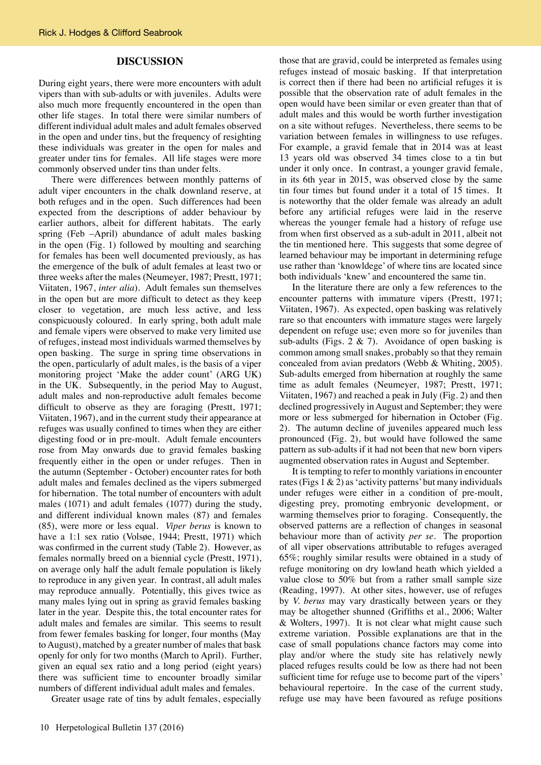#### **DISCUSSION**

During eight years, there were more encounters with adult vipers than with sub-adults or with juveniles. Adults were also much more frequently encountered in the open than other life stages. In total there were similar numbers of different individual adult males and adult females observed in the open and under tins, but the frequency of resighting these individuals was greater in the open for males and greater under tins for females. All life stages were more commonly observed under tins than under felts.

There were differences between monthly patterns of adult viper encounters in the chalk downland reserve, at both refuges and in the open. Such differences had been expected from the descriptions of adder behaviour by earlier authors, albeit for different habitats. The early spring (Feb –April) abundance of adult males basking in the open (Fig. 1) followed by moulting and searching for females has been well documented previously, as has the emergence of the bulk of adult females at least two or three weeks after the males (Neumeyer, 1987; Prestt, 1971; Viitaten, 1967, *inter alia*). Adult females sun themselves in the open but are more difficult to detect as they keep closer to vegetation, are much less active, and less conspicuously coloured. In early spring, both adult male and female vipers were observed to make very limited use of refuges, instead most individuals warmed themselves by open basking. The surge in spring time observations in the open, particularly of adult males, is the basis of a viper monitoring project 'Make the adder count' (ARG UK) in the UK. Subsequently, in the period May to August, adult males and non-reproductive adult females become difficult to observe as they are foraging (Prestt, 1971; Viitaten, 1967), and in the current study their appearance at refuges was usually confined to times when they are either digesting food or in pre-moult. Adult female encounters rose from May onwards due to gravid females basking frequently either in the open or under refuges. Then in the autumn (September - October) encounter rates for both adult males and females declined as the vipers submerged for hibernation. The total number of encounters with adult males (1071) and adult females (1077) during the study, and different individual known males (87) and females (85), were more or less equal. *Viper berus* is known to have a 1:1 sex ratio (Volsøe, 1944; Prestt, 1971) which was confirmed in the current study (Table 2). However, as females normally breed on a biennial cycle (Prestt, 1971), on average only half the adult female population is likely to reproduce in any given year. In contrast, all adult males may reproduce annually. Potentially, this gives twice as many males lying out in spring as gravid females basking later in the year. Despite this, the total encounter rates for adult males and females are similar. This seems to result from fewer females basking for longer, four months (May to August), matched by a greater number of males that bask openly for only for two months (March to April). Further, given an equal sex ratio and a long period (eight years) there was sufficient time to encounter broadly similar numbers of different individual adult males and females.

Greater usage rate of tins by adult females, especially

those that are gravid, could be interpreted as females using refuges instead of mosaic basking. If that interpretation is correct then if there had been no artificial refuges it is possible that the observation rate of adult females in the open would have been similar or even greater than that of adult males and this would be worth further investigation on a site without refuges. Nevertheless, there seems to be variation between females in willingness to use refuges. For example, a gravid female that in 2014 was at least 13 years old was observed 34 times close to a tin but under it only once. In contrast, a younger gravid female, in its 6th year in 2015, was observed close by the same tin four times but found under it a total of 15 times. It is noteworthy that the older female was already an adult before any artificial refuges were laid in the reserve whereas the younger female had a history of refuge use from when first observed as a sub-adult in 2011, albeit not the tin mentioned here. This suggests that some degree of learned behaviour may be important in determining refuge use rather than 'knowldege' of where tins are located since both individuals 'knew' and encountered the same tin.

In the literature there are only a few references to the encounter patterns with immature vipers (Prestt, 1971; Viitaten, 1967). As expected, open basking was relatively rare so that encounters with immature stages were largely dependent on refuge use; even more so for juveniles than sub-adults (Figs.  $2 \& 7$ ). Avoidance of open basking is common among small snakes, probably so that they remain concealed from avian predators (Webb & Whiting, 2005). Sub-adults emerged from hibernation at roughly the same time as adult females (Neumeyer, 1987; Prestt, 1971; Viitaten, 1967) and reached a peak in July (Fig. 2) and then declined progressively in August and September; they were more or less submerged for hibernation in October (Fig. 2). The autumn decline of juveniles appeared much less pronounced (Fig. 2), but would have followed the same pattern as sub-adults if it had not been that new born vipers augmented observation rates in August and September.

It is tempting to refer to monthly variations in encounter rates (Figs  $1 \& 2$ ) as 'activity patterns' but many individuals under refuges were either in a condition of pre-moult, digesting prey, promoting embryonic development, or warming themselves prior to foraging. Consequently, the observed patterns are a reflection of changes in seasonal behaviour more than of activity *per se*. The proportion of all viper observations attributable to refuges averaged 65%; roughly similar results were obtained in a study of refuge monitoring on dry lowland heath which yielded a value close to 50% but from a rather small sample size (Reading, 1997). At other sites, however, use of refuges by *V. berus* may vary drastically between years or they may be altogether shunned (Griffiths et al., 2006; Walter & Wolters, 1997). It is not clear what might cause such extreme variation. Possible explanations are that in the case of small populations chance factors may come into play and/or where the study site has relatively newly placed refuges results could be low as there had not been sufficient time for refuge use to become part of the vipers' behavioural repertoire. In the case of the current study, refuge use may have been favoured as refuge positions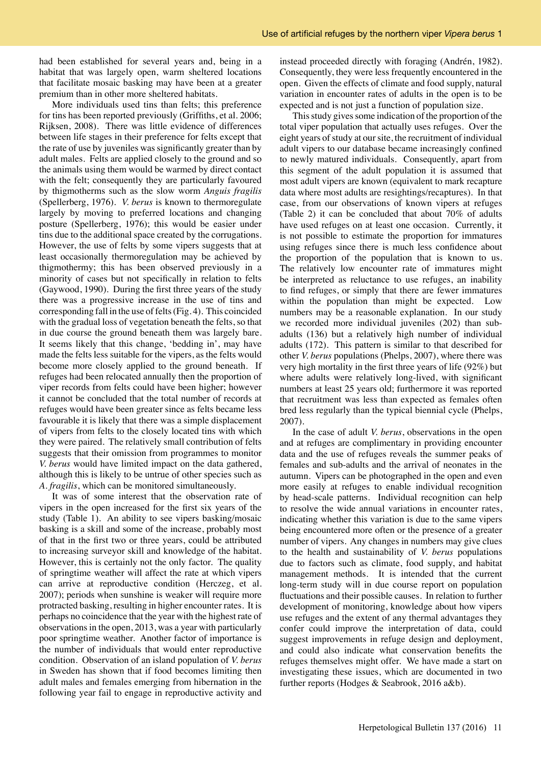had been established for several years and, being in a habitat that was largely open, warm sheltered locations that facilitate mosaic basking may have been at a greater premium than in other more sheltered habitats.

More individuals used tins than felts; this preference for tins has been reported previously (Griffiths, et al. 2006; Rijksen, 2008). There was little evidence of differences between life stages in their preference for felts except that the rate of use by juveniles was significantly greater than by adult males. Felts are applied closely to the ground and so the animals using them would be warmed by direct contact with the felt; consequently they are particularly favoured by thigmotherms such as the slow worm *Anguis fragilis* (Spellerberg, 1976). *V. berus* is known to thermoregulate largely by moving to preferred locations and changing posture (Spellerberg, 1976); this would be easier under tins due to the additional space created by the corrugations. However, the use of felts by some vipers suggests that at least occasionally thermoregulation may be achieved by thigmothermy; this has been observed previously in a minority of cases but not specifically in relation to felts (Gaywood, 1990). During the first three years of the study there was a progressive increase in the use of tins and corresponding fall in the use of felts (Fig. 4). This coincided with the gradual loss of vegetation beneath the felts, so that in due course the ground beneath them was largely bare. It seems likely that this change, 'bedding in', may have made the felts less suitable for the vipers, as the felts would become more closely applied to the ground beneath. If refuges had been relocated annually then the proportion of viper records from felts could have been higher; however it cannot be concluded that the total number of records at refuges would have been greater since as felts became less favourable it is likely that there was a simple displacement of vipers from felts to the closely located tins with which they were paired. The relatively small contribution of felts suggests that their omission from programmes to monitor *V. berus* would have limited impact on the data gathered, although this is likely to be untrue of other species such as *A. fragilis*, which can be monitored simultaneously.

It was of some interest that the observation rate of vipers in the open increased for the first six years of the study (Table 1). An ability to see vipers basking/mosaic basking is a skill and some of the increase, probably most of that in the first two or three years, could be attributed to increasing surveyor skill and knowledge of the habitat. However, this is certainly not the only factor. The quality of springtime weather will affect the rate at which vipers can arrive at reproductive condition (Herczeg, et al. 2007); periods when sunshine is weaker will require more protracted basking, resulting in higher encounter rates. It is perhaps no coincidence that the year with the highest rate of observations in the open, 2013, was a year with particularly poor springtime weather. Another factor of importance is the number of individuals that would enter reproductive condition. Observation of an island population of *V. berus* in Sweden has shown that if food becomes limiting then adult males and females emerging from hibernation in the following year fail to engage in reproductive activity and

instead proceeded directly with foraging (Andrén, 1982). Consequently, they were less frequently encountered in the open. Given the effects of climate and food supply, natural variation in encounter rates of adults in the open is to be expected and is not just a function of population size.

This study gives some indication of the proportion of the total viper population that actually uses refuges. Over the eight years of study at our site, the recruitment of individual adult vipers to our database became increasingly confined to newly matured individuals. Consequently, apart from this segment of the adult population it is assumed that most adult vipers are known (equivalent to mark recapture data where most adults are resightings/recaptures). In that case, from our observations of known vipers at refuges (Table 2) it can be concluded that about 70% of adults have used refuges on at least one occasion. Currently, it is not possible to estimate the proportion for immatures using refuges since there is much less confidence about the proportion of the population that is known to us. The relatively low encounter rate of immatures might be interpreted as reluctance to use refuges, an inability to find refuges, or simply that there are fewer immatures within the population than might be expected. Low numbers may be a reasonable explanation. In our study we recorded more individual juveniles (202) than subadults (136) but a relatively high number of individual adults (172). This pattern is similar to that described for other *V. berus* populations (Phelps, 2007), where there was very high mortality in the first three years of life (92%) but where adults were relatively long-lived, with significant numbers at least 25 years old; furthermore it was reported that recruitment was less than expected as females often bred less regularly than the typical biennial cycle (Phelps, 2007).

In the case of adult *V. berus*, observations in the open and at refuges are complimentary in providing encounter data and the use of refuges reveals the summer peaks of females and sub-adults and the arrival of neonates in the autumn. Vipers can be photographed in the open and even more easily at refuges to enable individual recognition by head-scale patterns. Individual recognition can help to resolve the wide annual variations in encounter rates, indicating whether this variation is due to the same vipers being encountered more often or the presence of a greater number of vipers. Any changes in numbers may give clues to the health and sustainability of *V. berus* populations due to factors such as climate, food supply, and habitat management methods. It is intended that the current long-term study will in due course report on population fluctuations and their possible causes. In relation to further development of monitoring, knowledge about how vipers use refuges and the extent of any thermal advantages they confer could improve the interpretation of data, could suggest improvements in refuge design and deployment, and could also indicate what conservation benefits the refuges themselves might offer. We have made a start on investigating these issues, which are documented in two further reports (Hodges & Seabrook, 2016 a&b).